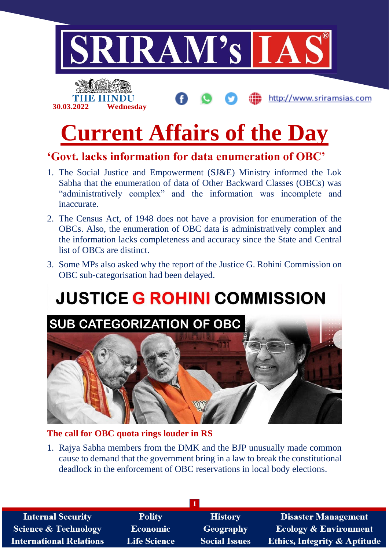

# **'Govt. lacks information for data enumeration of OBC'**

- 1. The Social Justice and Empowerment (SJ&E) Ministry informed the Lok Sabha that the enumeration of data of Other Backward Classes (OBCs) was "administratively complex" and the information was incomplete and inaccurate.
- 2. The Census Act, of 1948 does not have a provision for enumeration of the OBCs. Also, the enumeration of OBC data is administratively complex and the information lacks completeness and accuracy since the State and Central list of OBCs are distinct.
- 3. Some MPs also asked why the report of the Justice G. Rohini Commission on OBC sub-categorisation had been delayed.

# **JUSTICE G ROHINI COMMISSION**



#### **The call for OBC quota rings louder in RS**

1. Rajya Sabha members from the DMK and the BJP unusually made common cause to demand that the government bring in a law to break the constitutional deadlock in the enforcement of OBC reservations in local body elections.

| <b>Internal Security</b>        | <b>Polity</b>       | <b>History</b>       | <b>Disaster Management</b>              |
|---------------------------------|---------------------|----------------------|-----------------------------------------|
| <b>Science &amp; Technology</b> | <b>Economic</b>     | <b>Geography</b>     | <b>Ecology &amp; Environment</b>        |
| <b>International Relations</b>  | <b>Life Science</b> | <b>Social Issues</b> | <b>Ethics, Integrity &amp; Aptitude</b> |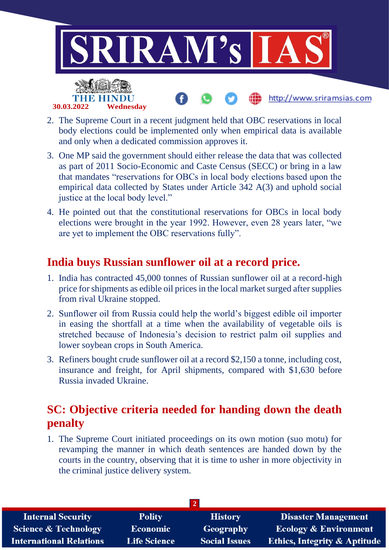

- 2. The Supreme Court in a recent judgment held that OBC reservations in local body elections could be implemented only when empirical data is available and only when a dedicated commission approves it.
- 3. One MP said the government should either release the data that was collected as part of 2011 Socio-Economic and Caste Census (SECC) or bring in a law that mandates "reservations for OBCs in local body elections based upon the empirical data collected by States under Article 342 A(3) and uphold social justice at the local body level."
- 4. He pointed out that the constitutional reservations for OBCs in local body elections were brought in the year 1992. However, even 28 years later, "we are yet to implement the OBC reservations fully".

# **India buys Russian sunflower oil at a record price.**

- 1. India has contracted 45,000 tonnes of Russian sunflower oil at a record-high price for shipments as edible oil prices in the local market surged after supplies from rival Ukraine stopped.
- 2. Sunflower oil from Russia could help the world's biggest edible oil importer in easing the shortfall at a time when the availability of vegetable oils is stretched because of Indonesia's decision to restrict palm oil supplies and lower soybean crops in South America.
- 3. Refiners bought crude sunflower oil at a record \$2,150 a tonne, including cost, insurance and freight, for April shipments, compared with \$1,630 before Russia invaded Ukraine.

# **SC: Objective criteria needed for handing down the death penalty**

1. The Supreme Court initiated proceedings on its own motion (suo motu) for revamping the manner in which death sentences are handed down by the courts in the country, observing that it is time to usher in more objectivity in the criminal justice delivery system.

| <b>Internal Security</b>        | <b>Polity</b>       | <b>History</b>       | <b>Disaster Management</b>              |
|---------------------------------|---------------------|----------------------|-----------------------------------------|
| <b>Science &amp; Technology</b> | <b>Economic</b>     | Geography            | <b>Ecology &amp; Environment</b>        |
| <b>International Relations</b>  | <b>Life Science</b> | <b>Social Issues</b> | <b>Ethics, Integrity &amp; Aptitude</b> |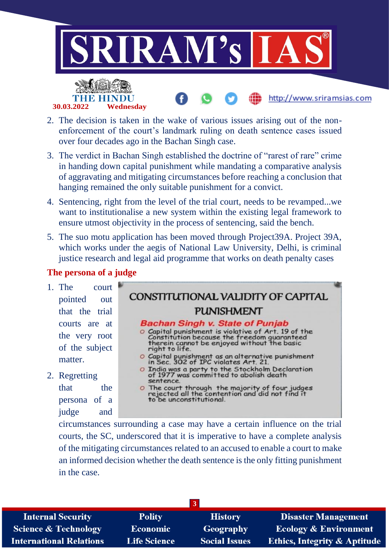

http://www.sriramsias.com



- 2. The decision is taken in the wake of various issues arising out of the nonenforcement of the court's landmark ruling on death sentence cases issued over four decades ago in the Bachan Singh case.
- 3. The verdict in Bachan Singh established the doctrine of "rarest of rare" crime in handing down capital punishment while mandating a comparative analysis of aggravating and mitigating circumstances before reaching a conclusion that hanging remained the only suitable punishment for a convict.
- 4. Sentencing, right from the level of the trial court, needs to be revamped...we want to institutionalise a new system within the existing legal framework to ensure utmost objectivity in the process of sentencing, said the bench.
- 5. The suo motu application has been moved through Project39A. Project 39A, which works under the aegis of National Law University, Delhi, is criminal justice research and legal aid programme that works on death penalty cases

#### **The persona of a judge**

- 1. The court pointed out that the trial courts are at the very root of the subject matter.
- 2. Regretting that the

persona of a judge and

### CONSTITUTIONAL VALIDITY OF CAPITAL **PUNISHMENT Bachan Singh v. State of Punjab** O Capital punishment is violative of Art. 19 of the<br>Constitution because the freedom guaranteed<br>therein cannot be enjoyed without the basic right to life. O Capital punishment as an alternative punishment<br>in Sec. 302 of IPC violates Art. 21. O India was a party to the Stockholm Declaration<br>of 1977 was committed to abolish death sentence O The court through the majority of four judges<br>rejected all the contention and did not find it to be unconstitutional.

circumstances surrounding a case may have a certain influence on the trial courts, the SC, underscored that it is imperative to have a complete analysis of the mitigating circumstances related to an accused to enable a court to make an informed decision whether the death sentence is the only fitting punishment in the case.

| <b>Internal Security</b>       | <b>Polity</b>       | <b>History</b>       | <b>Disaster Management</b>   |
|--------------------------------|---------------------|----------------------|------------------------------|
| Science & Technology           | <b>Economic</b>     | Geography            | Ecology & Environment        |
| <b>International Relations</b> | <b>Life Science</b> | <b>Social Issues</b> | Ethics, Integrity & Aptitude |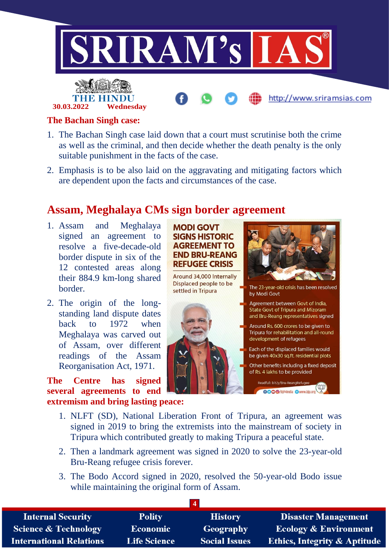

#### **The Bachan Singh case:**

**30.03.2022 Wednesday**

- 1. The Bachan Singh case laid down that a court must scrutinise both the crime as well as the criminal, and then decide whether the death penalty is the only suitable punishment in the facts of the case.
- 2. Emphasis is to be also laid on the aggravating and mitigating factors which are dependent upon the facts and circumstances of the case.

### **Assam, Meghalaya CMs sign border agreement**

- 1. Assam and Meghalaya signed an agreement to resolve a five-decade-old border dispute in six of the 12 contested areas along their 884.9 km-long shared **border**
- 2. The origin of the longstanding land dispute dates back to 1972 when Meghalaya was carved out of Assam, over different readings of the Assam Reorganisation Act, 1971.

**The Centre has signed several agreements to end extremism and bring lasting peace:**

#### **MODI GOVT SIGNS HISTORIC AGREEMENT TO FND BRU-REANG REFUGEE CRISIS**

Around 34,000 Internally Displaced people to be The 23-year-old crisis has been resolved settled in Tripura by Modi Govt Agreement between Govt of India, State Govt of Tripura and Mizoram and Bru-Reang representatives signed Around Rs. 600 crores to be given to Tripura for rehabilitation and all-round development of refugees Each of the displaced families would be given 40x30 sq.ft. residential plots Other benefits including a fixed deposit of Rs. 4 lakhs to be provided

> Readfull: bit.ly/Bru-ReangRefugee aaruli: bit.ly/Bru-ReangRefugee<br>OOOO/B|P4India Owww.bjp.org

- 1. NLFT (SD), National Liberation Front of Tripura, an agreement was signed in 2019 to bring the extremists into the mainstream of society in Tripura which contributed greatly to making Tripura a peaceful state.
- 2. Then a landmark agreement was signed in 2020 to solve the 23-year-old Bru-Reang refugee crisis forever.
- 3. The Bodo Accord signed in 2020, resolved the 50-year-old Bodo issue while maintaining the original form of Assam.

| <b>Internal Security</b>        | <b>Polity</b>       | <b>History</b>       | <b>Disaster Management</b>              |
|---------------------------------|---------------------|----------------------|-----------------------------------------|
| <b>Science &amp; Technology</b> | <b>Economic</b>     | Geography            | <b>Ecology &amp; Environment</b>        |
| <b>International Relations</b>  | <b>Life Science</b> | <b>Social Issues</b> | <b>Ethics, Integrity &amp; Aptitude</b> |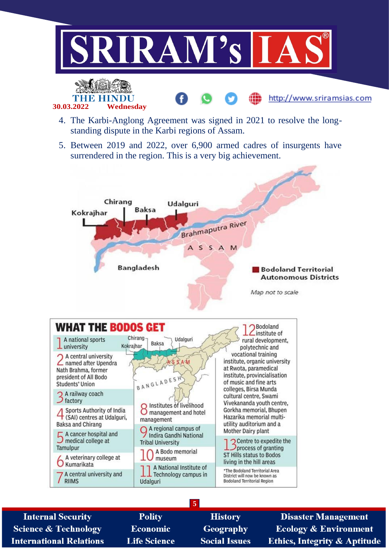

http://www.sriramsias.com



5. Between 2019 and 2022, over 6,900 armed cadres of insurgents have surrendered in the region. This is a very big achievement.





| <b>Internal Security</b>        | <b>Polity</b>       | <b>History</b>       | <b>Disaster Management</b>       |
|---------------------------------|---------------------|----------------------|----------------------------------|
| <b>Science &amp; Technology</b> | <b>Economic</b>     | <b>Geography</b>     | <b>Ecology &amp; Environment</b> |
| <b>International Relations</b>  | <b>Life Science</b> | <b>Social Issues</b> | Ethics, Integrity & Aptitude     |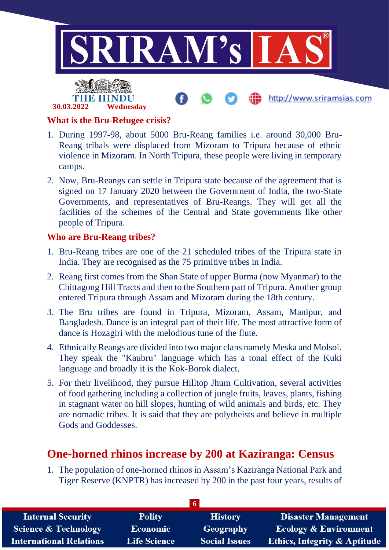

#### **What is the Bru-Refugee crisis?**

**30.03.2022 Wednesday**

- 1. During 1997-98, about 5000 Bru-Reang families i.e. around 30,000 Bru-Reang tribals were displaced from Mizoram to Tripura because of ethnic violence in Mizoram. In North Tripura, these people were living in temporary camps.
- 2. Now, Bru-Reangs can settle in Tripura state because of the agreement that is signed on 17 January 2020 between the Government of India, the two-State Governments, and representatives of Bru-Reangs. They will get all the facilities of the schemes of the Central and State governments like other people of Tripura.

#### **Who are Bru-Reang tribes?**

- 1. Bru-Reang tribes are one of the 21 scheduled tribes of the Tripura state in India. They are recognised as the 75 primitive tribes in India.
- 2. Reang first comes from the Shan State of upper Burma (now Myanmar) to the Chittagong Hill Tracts and then to the Southern part of Tripura. Another group entered Tripura through Assam and Mizoram during the 18th century.
- 3. The Bru tribes are found in Tripura, Mizoram, Assam, Manipur, and Bangladesh. Dance is an integral part of their life. The most attractive form of dance is Hozagiri with the melodious tune of the flute.
- 4. Ethnically Reangs are divided into two major clans namely Meska and Molsoi. They speak the "Kaubru" language which has a tonal effect of the Kuki language and broadly it is the Kok-Borok dialect.
- 5. For their livelihood, they pursue Hilltop Jhum Cultivation, several activities of food gathering including a collection of jungle fruits, leaves, plants, fishing in stagnant water on hill slopes, hunting of wild animals and birds, etc. They are nomadic tribes. It is said that they are polytheists and believe in multiple Gods and Goddesses.

## **One-horned rhinos increase by 200 at Kaziranga: Census**

1. The population of one-horned rhinos in Assam's Kaziranga National Park and Tiger Reserve (KNPTR) has increased by 200 in the past four years, results of

| <b>Internal Security</b>        | <b>Polity</b>       | <b>History</b>       | <b>Disaster Management</b>              |
|---------------------------------|---------------------|----------------------|-----------------------------------------|
| <b>Science &amp; Technology</b> | <b>Economic</b>     | <b>Geography</b>     | <b>Ecology &amp; Environment</b>        |
| <b>International Relations</b>  | <b>Life Science</b> | <b>Social Issues</b> | <b>Ethics, Integrity &amp; Aptitude</b> |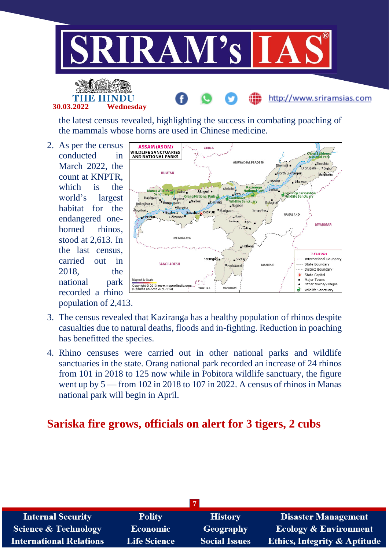

the latest census revealed, highlighting the success in combating poaching of the mammals whose horns are used in Chinese medicine.

2. As per the census conducted in March 2022, the count at KNPTR, which is the world's largest habitat for the endangered onehorned rhinos. stood at 2,613. In the last census, carried out in 2018, the national park recorded a rhino population of 2,413.

**30.03.2022 Wednesday**



- 3. The census revealed that Kaziranga has a healthy population of rhinos despite casualties due to natural deaths, floods and in-fighting. Reduction in poaching has benefitted the species.
- 4. Rhino censuses were carried out in other national parks and wildlife sanctuaries in the state. Orang national park recorded an increase of 24 rhinos from 101 in 2018 to 125 now while in Pobitora wildlife sanctuary, the figure went up by 5 — from 102 in 2018 to 107 in 2022. A census of rhinos in Manas national park will begin in April.

## **Sariska fire grows, officials on alert for 3 tigers, 2 cubs**

| <b>Internal Security</b>       | <b>Polity</b>       | <b>History</b>       | <b>Disaster Management</b>              |
|--------------------------------|---------------------|----------------------|-----------------------------------------|
| Science & Technology           | Economic            | <b>Geography</b>     | <b>Ecology &amp; Environment</b>        |
| <b>International Relations</b> | <b>Life Science</b> | <b>Social Issues</b> | <b>Ethics, Integrity &amp; Aptitude</b> |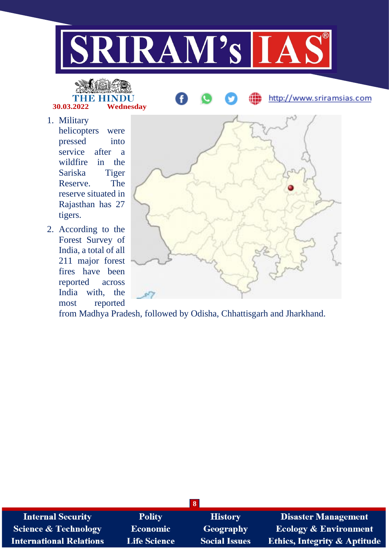

TH IN **30.03.2022 Wednesday**

1. Military helicopters were pressed into service after a wildfire in the Sariska Tiger Reserve. The reserve situated in Rajasthan has 27 tigers.

2. According to the Forest Survey of India, a total of all 211 major forest fires have been reported across India with, the most reported



http://www.sriramsias.com

from Madhya Pradesh, followed by Odisha, Chhattisgarh and Jharkhand.

| $\overline{\mathbf{8}}$         |                     |                      |                                         |
|---------------------------------|---------------------|----------------------|-----------------------------------------|
| <b>Internal Security</b>        | <b>Polity</b>       | <b>History</b>       | <b>Disaster Management</b>              |
| <b>Science &amp; Technology</b> | Economic            | <b>Geography</b>     | <b>Ecology &amp; Environment</b>        |
| <b>International Relations</b>  | <b>Life Science</b> | <b>Social Issues</b> | <b>Ethics, Integrity &amp; Aptitude</b> |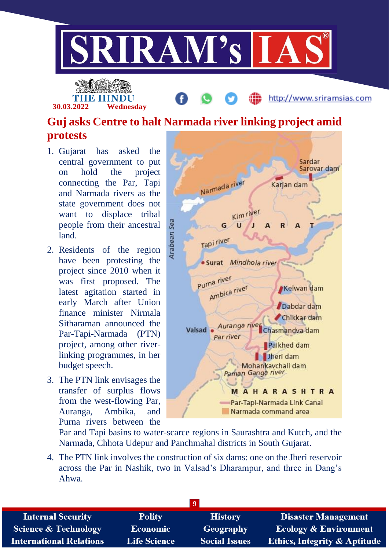

**30.03.2022 Wednesday**

http://www.sriramsias.com

# **Guj asks Centre to halt Narmada river linking project amid protests**

- 1. Gujarat has asked the central government to put on hold the project connecting the Par, Tapi and Narmada rivers as the state government does not want to displace tribal people from their ancestral land.
- 2. Residents of the region have been protesting the project since 2010 when it was first proposed. The latest agitation started in early March after Union finance minister Nirmala Sitharaman announced the Par-Tapi-Narmada (PTN) project, among other riverlinking programmes, in her budget speech.
- 3. The PTN link envisages the transfer of surplus flows from the west-flowing Par, Auranga, Ambika, and Purna rivers between the



Par and Tapi basins to water-scarce regions in Saurashtra and Kutch, and the Narmada, Chhota Udepur and Panchmahal districts in South Gujarat.

4. The PTN link involves the construction of six dams: one on the Jheri reservoir across the Par in Nashik, two in Valsad's Dharampur, and three in Dang's Ahwa.

| <b>Internal Security</b>        | <b>Polity</b>       | <b>History</b>       | <b>Disaster Management</b>              |  |
|---------------------------------|---------------------|----------------------|-----------------------------------------|--|
| <b>Science &amp; Technology</b> | Economic            | Geography            | <b>Ecology &amp; Environment</b>        |  |
| <b>International Relations</b>  | <b>Life Science</b> | <b>Social Issues</b> | <b>Ethics, Integrity &amp; Aptitude</b> |  |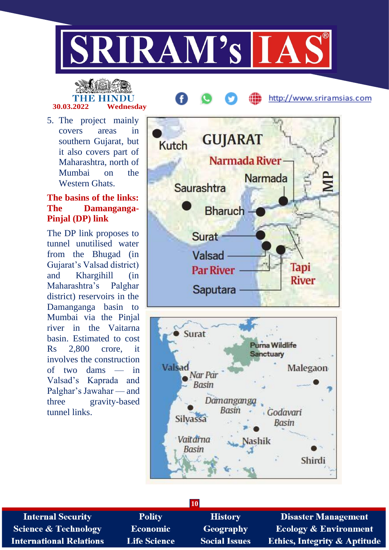

# THE HINDU **30.03.2022 Wednesday**

5. The project mainly covers areas in southern Gujarat, but it also covers part of Maharashtra, north of Mumbai on the Western Ghats

#### **The basins of the links: The Damanganga-Pinjal (DP) link**

The DP link proposes to tunnel unutilised water from the Bhugad (in Gujarat's Valsad district) and Khargihill (in Maharashtra's Palghar district) reservoirs in the Damanganga basin to Mumbai via the Pinjal river in the Vaitarna basin. Estimated to cost Rs 2,800 crore, it involves the construction of two dams — in Valsad's Kaprada and Palghar's Jawahar — and three gravity-based tunnel links.



http://www.sriramsias.com



| <b>10</b>                       |                     |                      |                                         |
|---------------------------------|---------------------|----------------------|-----------------------------------------|
| <b>Internal Security</b>        | <b>Polity</b>       | <b>History</b>       | <b>Disaster Management</b>              |
| <b>Science &amp; Technology</b> | <b>Economic</b>     | <b>Geography</b>     | <b>Ecology &amp; Environment</b>        |
| <b>International Relations</b>  | <b>Life Science</b> | <b>Social Issues</b> | <b>Ethics, Integrity &amp; Aptitude</b> |
|                                 |                     |                      |                                         |